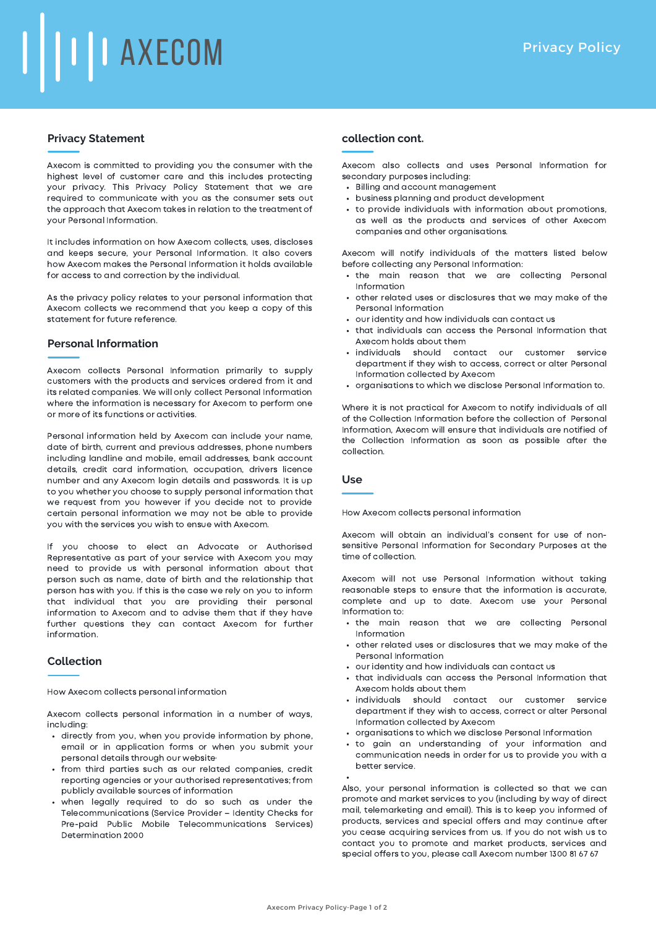# **TIL AXECOM**

# **Privacy Statement**

Axecom is committed to providing you the consumer with the highest level of customer care and this includes protecting your privacy. This Privacy Policy Statement that we are required to communicate with you as the consumer sets out the approach that Axecom takes in relation to the treatment of your Personal Information.

It includes information on how Axecom collects, uses, discloses and keeps secure, your Personal Information. It also covers how Axecom makes the Personal Information it holds available for access to and correction by the individual.

As the privacy policy relates to your personal information that Axecom collects we recommend that you keep a copy of this statement for future reference.

# **Personal Information**

Axecom collects Personal Information primarily to supply customers with the products and services ordered from it and its related companies. We will only collect Personal Information where the information is necessary for Axecom to perform one or more of its functions or activities.

Personal information held by Axecom can include your name, date of birth, current and previous addresses, phone numbers including landline and mobile, email addresses, bank account details, credit card information, occupation, drivers licence number and any Axecom login details and passwords. It is up to you whether you choose to supply personal information that we request from you however if you decide not to provide certain personal information we may not be able to provide you with the services you wish to ensue with Axecom.

If you choose to elect an Advocate or Authorised Representative as part of your service with Axecom you may need to provide us with personal information about that person such as name, date of birth and the relationship that person has with you. If this is the case we rely on you to inform that individual that you are providing their personal information to Axecom and to advise them that if they have further questions they can contact Axecom for further information.

# **Collection**

How Axecom collects personal information

Axecom collects personal information in a number of ways, including:

- directly from you, when you provide information by phone, email or in application forms or when you submit your personal details through our website·
- from third parties such as our related companies, credit reporting agencies or your authorised representatives; from publicly available sources of information
- when legally required to do so such as under the Telecommunications (Service Provider – Identity Checks for Pre-paid Public Mobile Telecommunications Services) Determination 2000

## **collection cont.**

Axecom also collects and uses Personal Information for secondary purposes including:

- Billing and account management
- business planning and product development
- to provide individuals with information about promotions, as well as the products and services of other Axecom companies and other organisations.

Axecom will notify individuals of the matters listed below before collecting any Personal Information:

- the main reason that we are collecting Personal Information
- other related uses or disclosures that we may make of the Personal Information
- our identity and how individuals can contact us
- that individuals can access the Personal Information that Axecom holds about them
- individuals should contact our customer service department if they wish to access, correct or alter Personal Information collected by Axecom
- organisations to which we disclose Personal Information to.

Where it is not practical for Axecom to notify individuals of all of the Collection Information before the collection of Personal Information, Axecom will ensure that individuals are notified of the Collection Information as soon as possible after the collection.

## **Use**

How Axecom collects personal information

Axecom will obtain an individual's consent for use of nonsensitive Personal Information for Secondary Purposes at the time of collection.

Axecom will not use Personal Information without taking reasonable steps to ensure that the information is accurate, complete and up to date. Axecom use your Personal Information to:

- the main reason that we are collecting Personal Information
- other related uses or disclosures that we may make of the Personal Information
- our identity and how individuals can contact us
- that individuals can access the Personal Information that Axecom holds about them
- individuals should contact our customer service department if they wish to access, correct or alter Personal Information collected by Axecom
- organisations to which we disclose Personal Information
- to gain an understanding of your information and communication needs in order for us to provide you with a better service.

Also, your personal information is collected so that we can promote and market services to you (including by way of direct mail, telemarketing and email). This is to keep you informed of products, services and special offers and may continue after you cease acquiring services from us. If you do not wish us to contact you to promote and market products, services and special offers to you, please call Axecom number 1300 81 67 67